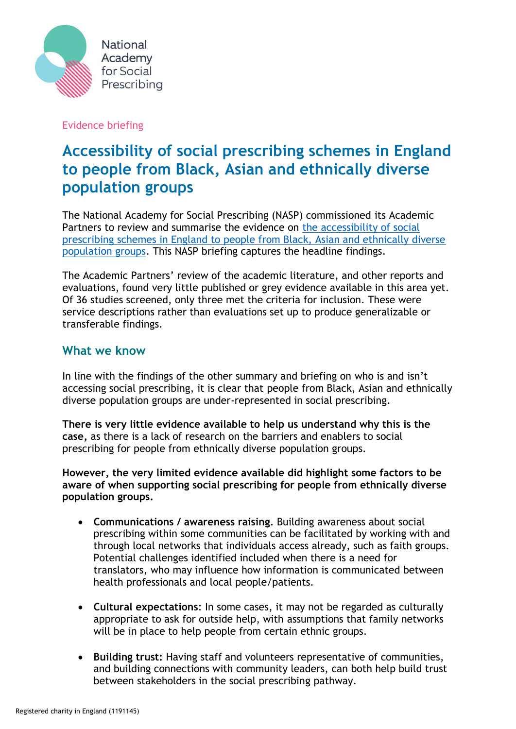

#### Evidence briefing

# **Accessibility of social prescribing schemes in England to people from Black, Asian and ethnically diverse population groups**

The National Academy for Social Prescribing (NASP) commissioned its Academic Partners to review and summarise the evidence on the accessibility of social [prescribing schemes in England to people from Black, Asian and ethnically diverse](https://socialprescribingacademy.org.uk/wp-content/uploads/2022/03/Evidence-summary-accessibility-of-social-prescribing-schemes-in-England-to-people-from-black-and-ethnic-minority-backgrounds.pdf)  [population groups.](https://socialprescribingacademy.org.uk/wp-content/uploads/2022/03/Evidence-summary-accessibility-of-social-prescribing-schemes-in-England-to-people-from-black-and-ethnic-minority-backgrounds.pdf) This NASP briefing captures the headline findings.

The Academic Partners' review of the academic literature, and other reports and evaluations, found very little published or grey evidence available in this area yet. Of 36 studies screened, only three met the criteria for inclusion. These were service descriptions rather than evaluations set up to produce generalizable or transferable findings.

### **What we know**

In line with the findings of the other summary and briefing on who is and isn't accessing social prescribing, it is clear that people from Black, Asian and ethnically diverse population groups are under-represented in social prescribing.

**There is very little evidence available to help us understand why this is the case,** as there is a lack of research on the barriers and enablers to social prescribing for people from ethnically diverse population groups.

**However, the very limited evidence available did highlight some factors to be aware of when supporting social prescribing for people from ethnically diverse population groups.** 

- **Communications / awareness raising**. Building awareness about social prescribing within some communities can be facilitated by working with and through local networks that individuals access already, such as faith groups. Potential challenges identified included when there is a need for translators, who may influence how information is communicated between health professionals and local people/patients.
- **Cultural expectations**: In some cases, it may not be regarded as culturally appropriate to ask for outside help, with assumptions that family networks will be in place to help people from certain ethnic groups.
- **Building trust:** Having staff and volunteers representative of communities, and building connections with community leaders, can both help build trust between stakeholders in the social prescribing pathway.